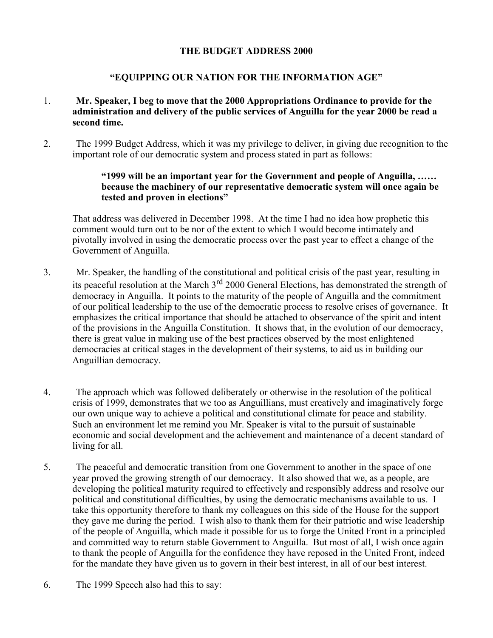### **THE BUDGET ADDRESS 2000**

## **"EQUIPPING OUR NATION FOR THE INFORMATION AGE"**

- 1. **Mr. Speaker, I beg to move that the 2000 Appropriations Ordinance to provide for the administration and delivery of the public services of Anguilla for the year 2000 be read a second time.**
- 2. The 1999 Budget Address, which it was my privilege to deliver, in giving due recognition to the important role of our democratic system and process stated in part as follows:

### **"1999 will be an important year for the Government and people of Anguilla, …… because the machinery of our representative democratic system will once again be tested and proven in elections"**

That address was delivered in December 1998. At the time I had no idea how prophetic this comment would turn out to be nor of the extent to which I would become intimately and pivotally involved in using the democratic process over the past year to effect a change of the Government of Anguilla.

- 3. Mr. Speaker, the handling of the constitutional and political crisis of the past year, resulting in its peaceful resolution at the March 3<sup>rd</sup> 2000 General Elections, has demonstrated the strength of democracy in Anguilla. It points to the maturity of the people of Anguilla and the commitment of our political leadership to the use of the democratic process to resolve crises of governance. It emphasizes the critical importance that should be attached to observance of the spirit and intent of the provisions in the Anguilla Constitution. It shows that, in the evolution of our democracy, there is great value in making use of the best practices observed by the most enlightened democracies at critical stages in the development of their systems, to aid us in building our Anguillian democracy.
- 4. The approach which was followed deliberately or otherwise in the resolution of the political crisis of 1999, demonstrates that we too as Anguillians, must creatively and imaginatively forge our own unique way to achieve a political and constitutional climate for peace and stability. Such an environment let me remind you Mr. Speaker is vital to the pursuit of sustainable economic and social development and the achievement and maintenance of a decent standard of living for all.
- 5. The peaceful and democratic transition from one Government to another in the space of one year proved the growing strength of our democracy. It also showed that we, as a people, are developing the political maturity required to effectively and responsibly address and resolve our political and constitutional difficulties, by using the democratic mechanisms available to us. I take this opportunity therefore to thank my colleagues on this side of the House for the support they gave me during the period. I wish also to thank them for their patriotic and wise leadership of the people of Anguilla, which made it possible for us to forge the United Front in a principled and committed way to return stable Government to Anguilla. But most of all, I wish once again to thank the people of Anguilla for the confidence they have reposed in the United Front, indeed for the mandate they have given us to govern in their best interest, in all of our best interest.
- 6. The 1999 Speech also had this to say: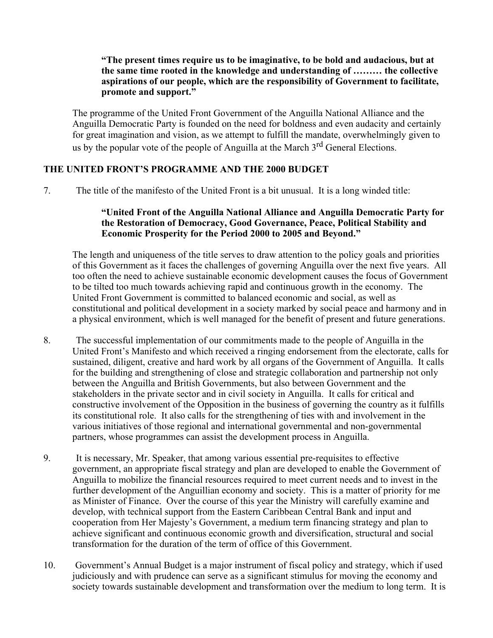#### **"The present times require us to be imaginative, to be bold and audacious, but at the same time rooted in the knowledge and understanding of ……… the collective aspirations of our people, which are the responsibility of Government to facilitate, promote and support."**

The programme of the United Front Government of the Anguilla National Alliance and the Anguilla Democratic Party is founded on the need for boldness and even audacity and certainly for great imagination and vision, as we attempt to fulfill the mandate, overwhelmingly given to us by the popular vote of the people of Anguilla at the March 3<sup>rd</sup> General Elections.

## **THE UNITED FRONT'S PROGRAMME AND THE 2000 BUDGET**

7. The title of the manifesto of the United Front is a bit unusual. It is a long winded title:

### **"United Front of the Anguilla National Alliance and Anguilla Democratic Party for the Restoration of Democracy, Good Governance, Peace, Political Stability and Economic Prosperity for the Period 2000 to 2005 and Beyond."**

The length and uniqueness of the title serves to draw attention to the policy goals and priorities of this Government as it faces the challenges of governing Anguilla over the next five years. All too often the need to achieve sustainable economic development causes the focus of Government to be tilted too much towards achieving rapid and continuous growth in the economy. The United Front Government is committed to balanced economic and social, as well as constitutional and political development in a society marked by social peace and harmony and in a physical environment, which is well managed for the benefit of present and future generations.

- 8. The successful implementation of our commitments made to the people of Anguilla in the United Front's Manifesto and which received a ringing endorsement from the electorate, calls for sustained, diligent, creative and hard work by all organs of the Government of Anguilla. It calls for the building and strengthening of close and strategic collaboration and partnership not only between the Anguilla and British Governments, but also between Government and the stakeholders in the private sector and in civil society in Anguilla. It calls for critical and constructive involvement of the Opposition in the business of governing the country as it fulfills its constitutional role. It also calls for the strengthening of ties with and involvement in the various initiatives of those regional and international governmental and non-governmental partners, whose programmes can assist the development process in Anguilla.
- 9. It is necessary, Mr. Speaker, that among various essential pre-requisites to effective government, an appropriate fiscal strategy and plan are developed to enable the Government of Anguilla to mobilize the financial resources required to meet current needs and to invest in the further development of the Anguillian economy and society. This is a matter of priority for me as Minister of Finance. Over the course of this year the Ministry will carefully examine and develop, with technical support from the Eastern Caribbean Central Bank and input and cooperation from Her Majesty's Government, a medium term financing strategy and plan to achieve significant and continuous economic growth and diversification, structural and social transformation for the duration of the term of office of this Government.
- 10. Government's Annual Budget is a major instrument of fiscal policy and strategy, which if used judiciously and with prudence can serve as a significant stimulus for moving the economy and society towards sustainable development and transformation over the medium to long term. It is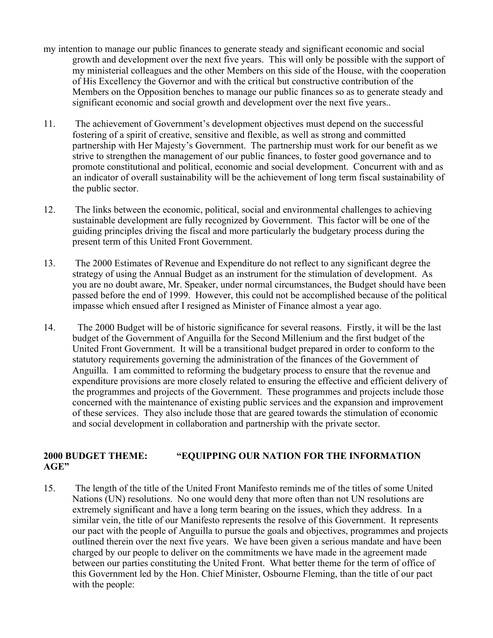- my intention to manage our public finances to generate steady and significant economic and social growth and development over the next five years. This will only be possible with the support of my ministerial colleagues and the other Members on this side of the House, with the cooperation of His Excellency the Governor and with the critical but constructive contribution of the Members on the Opposition benches to manage our public finances so as to generate steady and significant economic and social growth and development over the next five years..
- 11. The achievement of Government's development objectives must depend on the successful fostering of a spirit of creative, sensitive and flexible, as well as strong and committed partnership with Her Majesty's Government. The partnership must work for our benefit as we strive to strengthen the management of our public finances, to foster good governance and to promote constitutional and political, economic and social development. Concurrent with and as an indicator of overall sustainability will be the achievement of long term fiscal sustainability of the public sector.
- 12. The links between the economic, political, social and environmental challenges to achieving sustainable development are fully recognized by Government. This factor will be one of the guiding principles driving the fiscal and more particularly the budgetary process during the present term of this United Front Government.
- 13. The 2000 Estimates of Revenue and Expenditure do not reflect to any significant degree the strategy of using the Annual Budget as an instrument for the stimulation of development. As you are no doubt aware, Mr. Speaker, under normal circumstances, the Budget should have been passed before the end of 1999. However, this could not be accomplished because of the political impasse which ensued after I resigned as Minister of Finance almost a year ago.
- 14. The 2000 Budget will be of historic significance for several reasons. Firstly, it will be the last budget of the Government of Anguilla for the Second Millenium and the first budget of the United Front Government. It will be a transitional budget prepared in order to conform to the statutory requirements governing the administration of the finances of the Government of Anguilla. I am committed to reforming the budgetary process to ensure that the revenue and expenditure provisions are more closely related to ensuring the effective and efficient delivery of the programmes and projects of the Government. These programmes and projects include those concerned with the maintenance of existing public services and the expansion and improvement of these services. They also include those that are geared towards the stimulation of economic and social development in collaboration and partnership with the private sector.

### **2000 BUDGET THEME: "EQUIPPING OUR NATION FOR THE INFORMATION AGE"**

15. The length of the title of the United Front Manifesto reminds me of the titles of some United Nations (UN) resolutions. No one would deny that more often than not UN resolutions are extremely significant and have a long term bearing on the issues, which they address. In a similar vein, the title of our Manifesto represents the resolve of this Government. It represents our pact with the people of Anguilla to pursue the goals and objectives, programmes and projects outlined therein over the next five years. We have been given a serious mandate and have been charged by our people to deliver on the commitments we have made in the agreement made between our parties constituting the United Front. What better theme for the term of office of this Government led by the Hon. Chief Minister, Osbourne Fleming, than the title of our pact with the people: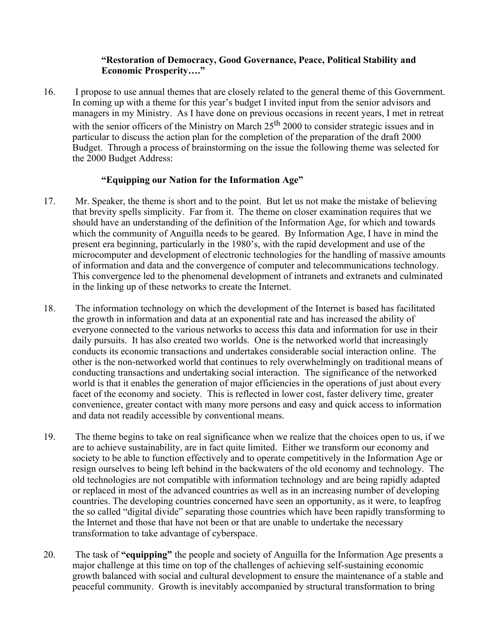### **"Restoration of Democracy, Good Governance, Peace, Political Stability and Economic Prosperity…."**

16. I propose to use annual themes that are closely related to the general theme of this Government. In coming up with a theme for this year's budget I invited input from the senior advisors and managers in my Ministry. As I have done on previous occasions in recent years, I met in retreat with the senior officers of the Ministry on March  $25<sup>th</sup> 2000$  to consider strategic issues and in particular to discuss the action plan for the completion of the preparation of the draft 2000 Budget. Through a process of brainstorming on the issue the following theme was selected for the 2000 Budget Address:

### **"Equipping our Nation for the Information Age"**

- 17. Mr. Speaker, the theme is short and to the point. But let us not make the mistake of believing that brevity spells simplicity. Far from it. The theme on closer examination requires that we should have an understanding of the definition of the Information Age, for which and towards which the community of Anguilla needs to be geared. By Information Age, I have in mind the present era beginning, particularly in the 1980's, with the rapid development and use of the microcomputer and development of electronic technologies for the handling of massive amounts of information and data and the convergence of computer and telecommunications technology. This convergence led to the phenomenal development of intranets and extranets and culminated in the linking up of these networks to create the Internet.
- 18. The information technology on which the development of the Internet is based has facilitated the growth in information and data at an exponential rate and has increased the ability of everyone connected to the various networks to access this data and information for use in their daily pursuits. It has also created two worlds. One is the networked world that increasingly conducts its economic transactions and undertakes considerable social interaction online. The other is the non-networked world that continues to rely overwhelmingly on traditional means of conducting transactions and undertaking social interaction. The significance of the networked world is that it enables the generation of major efficiencies in the operations of just about every facet of the economy and society. This is reflected in lower cost, faster delivery time, greater convenience, greater contact with many more persons and easy and quick access to information and data not readily accessible by conventional means.
- 19. The theme begins to take on real significance when we realize that the choices open to us, if we are to achieve sustainability, are in fact quite limited. Either we transform our economy and society to be able to function effectively and to operate competitively in the Information Age or resign ourselves to being left behind in the backwaters of the old economy and technology. The old technologies are not compatible with information technology and are being rapidly adapted or replaced in most of the advanced countries as well as in an increasing number of developing countries. The developing countries concerned have seen an opportunity, as it were, to leapfrog the so called "digital divide" separating those countries which have been rapidly transforming to the Internet and those that have not been or that are unable to undertake the necessary transformation to take advantage of cyberspace.
- 20. The task of **"equipping"** the people and society of Anguilla for the Information Age presents a major challenge at this time on top of the challenges of achieving self-sustaining economic growth balanced with social and cultural development to ensure the maintenance of a stable and peaceful community. Growth is inevitably accompanied by structural transformation to bring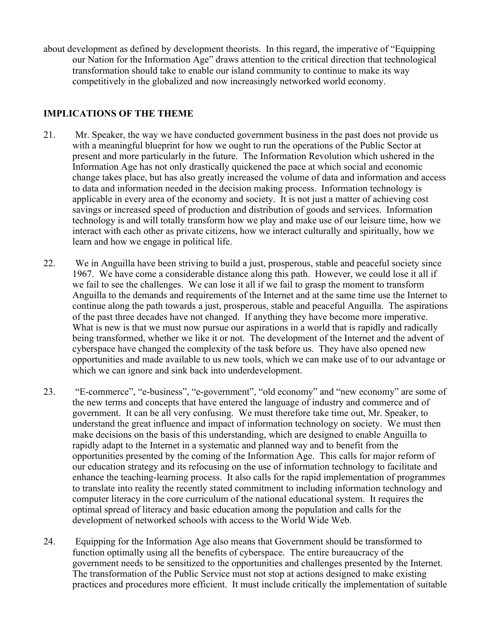about development as defined by development theorists. In this regard, the imperative of "Equipping our Nation for the Information Age" draws attention to the critical direction that technological transformation should take to enable our island community to continue to make its way competitively in the globalized and now increasingly networked world economy.

## **IMPLICATIONS OF THE THEME**

- 21. Mr. Speaker, the way we have conducted government business in the past does not provide us with a meaningful blueprint for how we ought to run the operations of the Public Sector at present and more particularly in the future. The Information Revolution which ushered in the Information Age has not only drastically quickened the pace at which social and economic change takes place, but has also greatly increased the volume of data and information and access to data and information needed in the decision making process. Information technology is applicable in every area of the economy and society. It is not just a matter of achieving cost savings or increased speed of production and distribution of goods and services. Information technology is and will totally transform how we play and make use of our leisure time, how we interact with each other as private citizens, how we interact culturally and spiritually, how we learn and how we engage in political life.
- 22. We in Anguilla have been striving to build a just, prosperous, stable and peaceful society since 1967. We have come a considerable distance along this path. However, we could lose it all if we fail to see the challenges. We can lose it all if we fail to grasp the moment to transform Anguilla to the demands and requirements of the Internet and at the same time use the Internet to continue along the path towards a just, prosperous, stable and peaceful Anguilla. The aspirations of the past three decades have not changed. If anything they have become more imperative. What is new is that we must now pursue our aspirations in a world that is rapidly and radically being transformed, whether we like it or not. The development of the Internet and the advent of cyberspace have changed the complexity of the task before us. They have also opened new opportunities and made available to us new tools, which we can make use of to our advantage or which we can ignore and sink back into underdevelopment.
- 23. "E-commerce", "e-business", "e-government", "old economy" and "new economy" are some of the new terms and concepts that have entered the language of industry and commerce and of government. It can be all very confusing. We must therefore take time out, Mr. Speaker, to understand the great influence and impact of information technology on society. We must then make decisions on the basis of this understanding, which are designed to enable Anguilla to rapidly adapt to the Internet in a systematic and planned way and to benefit from the opportunities presented by the coming of the Information Age. This calls for major reform of our education strategy and its refocusing on the use of information technology to facilitate and enhance the teaching-learning process. It also calls for the rapid implementation of programmes to translate into reality the recently stated commitment to including information technology and computer literacy in the core curriculum of the national educational system. It requires the optimal spread of literacy and basic education among the population and calls for the development of networked schools with access to the World Wide Web.
- 24. Equipping for the Information Age also means that Government should be transformed to function optimally using all the benefits of cyberspace. The entire bureaucracy of the government needs to be sensitized to the opportunities and challenges presented by the Internet. The transformation of the Public Service must not stop at actions designed to make existing practices and procedures more efficient. It must include critically the implementation of suitable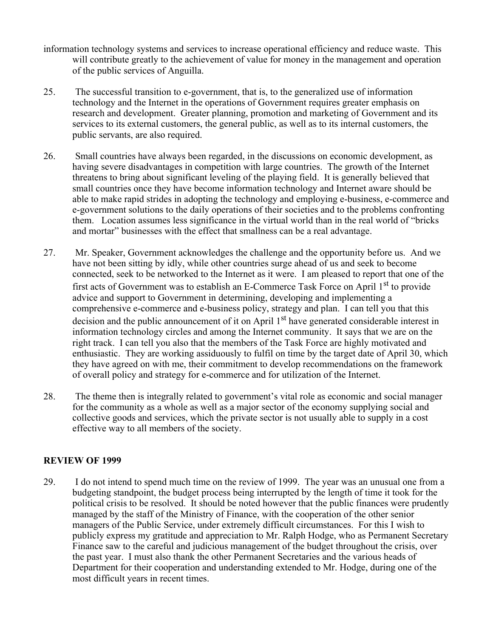- information technology systems and services to increase operational efficiency and reduce waste. This will contribute greatly to the achievement of value for money in the management and operation of the public services of Anguilla.
- 25. The successful transition to e-government, that is, to the generalized use of information technology and the Internet in the operations of Government requires greater emphasis on research and development. Greater planning, promotion and marketing of Government and its services to its external customers, the general public, as well as to its internal customers, the public servants, are also required.
- 26. Small countries have always been regarded, in the discussions on economic development, as having severe disadvantages in competition with large countries. The growth of the Internet threatens to bring about significant leveling of the playing field. It is generally believed that small countries once they have become information technology and Internet aware should be able to make rapid strides in adopting the technology and employing e-business, e-commerce and e-government solutions to the daily operations of their societies and to the problems confronting them. Location assumes less significance in the virtual world than in the real world of "bricks and mortar" businesses with the effect that smallness can be a real advantage.
- 27. Mr. Speaker, Government acknowledges the challenge and the opportunity before us. And we have not been sitting by idly, while other countries surge ahead of us and seek to become connected, seek to be networked to the Internet as it were. I am pleased to report that one of the first acts of Government was to establish an E-Commerce Task Force on April 1st to provide advice and support to Government in determining, developing and implementing a comprehensive e-commerce and e-business policy, strategy and plan. I can tell you that this decision and the public announcement of it on April 1<sup>st</sup> have generated considerable interest in information technology circles and among the Internet community. It says that we are on the right track. I can tell you also that the members of the Task Force are highly motivated and enthusiastic. They are working assiduously to fulfil on time by the target date of April 30, which they have agreed on with me, their commitment to develop recommendations on the framework of overall policy and strategy for e-commerce and for utilization of the Internet.
- 28. The theme then is integrally related to government's vital role as economic and social manager for the community as a whole as well as a major sector of the economy supplying social and collective goods and services, which the private sector is not usually able to supply in a cost effective way to all members of the society.

## **REVIEW OF 1999**

29. I do not intend to spend much time on the review of 1999. The year was an unusual one from a budgeting standpoint, the budget process being interrupted by the length of time it took for the political crisis to be resolved. It should be noted however that the public finances were prudently managed by the staff of the Ministry of Finance, with the cooperation of the other senior managers of the Public Service, under extremely difficult circumstances. For this I wish to publicly express my gratitude and appreciation to Mr. Ralph Hodge, who as Permanent Secretary Finance saw to the careful and judicious management of the budget throughout the crisis, over the past year. I must also thank the other Permanent Secretaries and the various heads of Department for their cooperation and understanding extended to Mr. Hodge, during one of the most difficult years in recent times.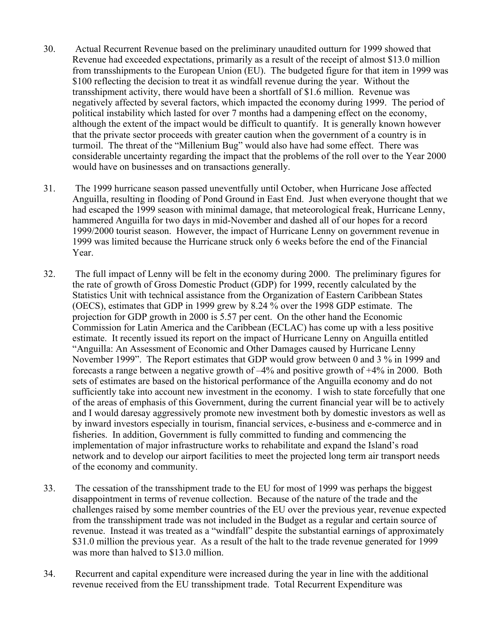- 30. Actual Recurrent Revenue based on the preliminary unaudited outturn for 1999 showed that Revenue had exceeded expectations, primarily as a result of the receipt of almost \$13.0 million from transshipments to the European Union (EU). The budgeted figure for that item in 1999 was \$100 reflecting the decision to treat it as windfall revenue during the year. Without the transshipment activity, there would have been a shortfall of \$1.6 million. Revenue was negatively affected by several factors, which impacted the economy during 1999. The period of political instability which lasted for over 7 months had a dampening effect on the economy, although the extent of the impact would be difficult to quantify. It is generally known however that the private sector proceeds with greater caution when the government of a country is in turmoil. The threat of the "Millenium Bug" would also have had some effect. There was considerable uncertainty regarding the impact that the problems of the roll over to the Year 2000 would have on businesses and on transactions generally.
- 31. The 1999 hurricane season passed uneventfully until October, when Hurricane Jose affected Anguilla, resulting in flooding of Pond Ground in East End. Just when everyone thought that we had escaped the 1999 season with minimal damage, that meteorological freak, Hurricane Lenny, hammered Anguilla for two days in mid-November and dashed all of our hopes for a record 1999/2000 tourist season. However, the impact of Hurricane Lenny on government revenue in 1999 was limited because the Hurricane struck only 6 weeks before the end of the Financial Year.
- 32. The full impact of Lenny will be felt in the economy during 2000. The preliminary figures for the rate of growth of Gross Domestic Product (GDP) for 1999, recently calculated by the Statistics Unit with technical assistance from the Organization of Eastern Caribbean States (OECS), estimates that GDP in 1999 grew by 8.24 % over the 1998 GDP estimate. The projection for GDP growth in 2000 is 5.57 per cent. On the other hand the Economic Commission for Latin America and the Caribbean (ECLAC) has come up with a less positive estimate. It recently issued its report on the impact of Hurricane Lenny on Anguilla entitled "Anguilla: An Assessment of Economic and Other Damages caused by Hurricane Lenny November 1999". The Report estimates that GDP would grow between 0 and 3 % in 1999 and forecasts a range between a negative growth of –4% and positive growth of +4% in 2000. Both sets of estimates are based on the historical performance of the Anguilla economy and do not sufficiently take into account new investment in the economy. I wish to state forcefully that one of the areas of emphasis of this Government, during the current financial year will be to actively and I would daresay aggressively promote new investment both by domestic investors as well as by inward investors especially in tourism, financial services, e-business and e-commerce and in fisheries. In addition, Government is fully committed to funding and commencing the implementation of major infrastructure works to rehabilitate and expand the Island's road network and to develop our airport facilities to meet the projected long term air transport needs of the economy and community.
- 33. The cessation of the transshipment trade to the EU for most of 1999 was perhaps the biggest disappointment in terms of revenue collection. Because of the nature of the trade and the challenges raised by some member countries of the EU over the previous year, revenue expected from the transshipment trade was not included in the Budget as a regular and certain source of revenue. Instead it was treated as a "windfall" despite the substantial earnings of approximately \$31.0 million the previous year. As a result of the halt to the trade revenue generated for 1999 was more than halved to \$13.0 million.
- 34. Recurrent and capital expenditure were increased during the year in line with the additional revenue received from the EU transshipment trade. Total Recurrent Expenditure was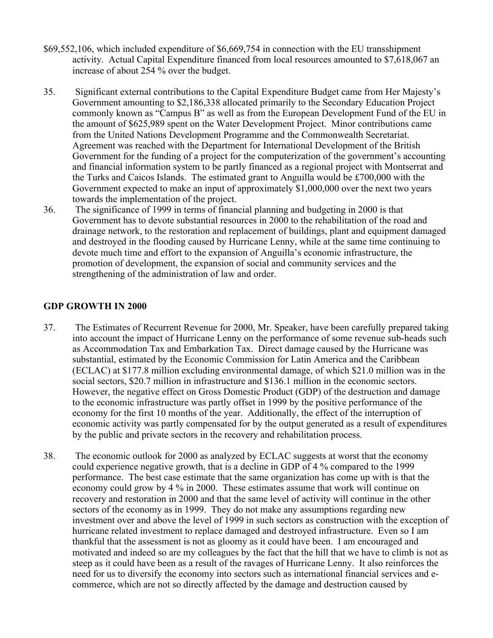- \$69,552,106, which included expenditure of \$6,669,754 in connection with the EU transshipment activity. Actual Capital Expenditure financed from local resources amounted to \$7,618,067 an increase of about 254 % over the budget.
- 35. Significant external contributions to the Capital Expenditure Budget came from Her Majesty's Government amounting to \$2,186,338 allocated primarily to the Secondary Education Project commonly known as "Campus B" as well as from the European Development Fund of the EU in the amount of \$625,989 spent on the Water Development Project. Minor contributions came from the United Nations Development Programme and the Commonwealth Secretariat. Agreement was reached with the Department for International Development of the British Government for the funding of a project for the computerization of the government's accounting and financial information system to be partly financed as a regional project with Montserrat and the Turks and Caicos Islands. The estimated grant to Anguilla would be £700,000 with the Government expected to make an input of approximately \$1,000,000 over the next two years towards the implementation of the project.
- 36. The significance of 1999 in terms of financial planning and budgeting in 2000 is that Government has to devote substantial resources in 2000 to the rehabilitation of the road and drainage network, to the restoration and replacement of buildings, plant and equipment damaged and destroyed in the flooding caused by Hurricane Lenny, while at the same time continuing to devote much time and effort to the expansion of Anguilla's economic infrastructure, the promotion of development, the expansion of social and community services and the strengthening of the administration of law and order.

### **GDP GROWTH IN 2000**

- 37. The Estimates of Recurrent Revenue for 2000, Mr. Speaker, have been carefully prepared taking into account the impact of Hurricane Lenny on the performance of some revenue sub-heads such as Accommodation Tax and Embarkation Tax. Direct damage caused by the Hurricane was substantial, estimated by the Economic Commission for Latin America and the Caribbean (ECLAC) at \$177.8 million excluding environmental damage, of which \$21.0 million was in the social sectors, \$20.7 million in infrastructure and \$136.1 million in the economic sectors. However, the negative effect on Gross Domestic Product (GDP) of the destruction and damage to the economic infrastructure was partly offset in 1999 by the positive performance of the economy for the first 10 months of the year. Additionally, the effect of the interruption of economic activity was partly compensated for by the output generated as a result of expenditures by the public and private sectors in the recovery and rehabilitation process.
- 38. The economic outlook for 2000 as analyzed by ECLAC suggests at worst that the economy could experience negative growth, that is a decline in GDP of 4 % compared to the 1999 performance. The best case estimate that the same organization has come up with is that the economy could grow by 4 % in 2000. These estimates assume that work will continue on recovery and restoration in 2000 and that the same level of activity will continue in the other sectors of the economy as in 1999. They do not make any assumptions regarding new investment over and above the level of 1999 in such sectors as construction with the exception of hurricane related investment to replace damaged and destroyed infrastructure. Even so I am thankful that the assessment is not as gloomy as it could have been. I am encouraged and motivated and indeed so are my colleagues by the fact that the hill that we have to climb is not as steep as it could have been as a result of the ravages of Hurricane Lenny. It also reinforces the need for us to diversify the economy into sectors such as international financial services and ecommerce, which are not so directly affected by the damage and destruction caused by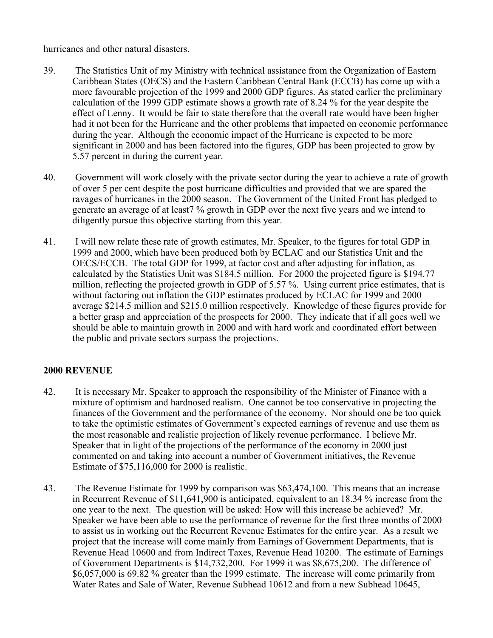hurricanes and other natural disasters.

- 39. The Statistics Unit of my Ministry with technical assistance from the Organization of Eastern Caribbean States (OECS) and the Eastern Caribbean Central Bank (ECCB) has come up with a more favourable projection of the 1999 and 2000 GDP figures. As stated earlier the preliminary calculation of the 1999 GDP estimate shows a growth rate of 8.24 % for the year despite the effect of Lenny. It would be fair to state therefore that the overall rate would have been higher had it not been for the Hurricane and the other problems that impacted on economic performance during the year. Although the economic impact of the Hurricane is expected to be more significant in 2000 and has been factored into the figures, GDP has been projected to grow by 5.57 percent in during the current year.
- 40. Government will work closely with the private sector during the year to achieve a rate of growth of over 5 per cent despite the post hurricane difficulties and provided that we are spared the ravages of hurricanes in the 2000 season. The Government of the United Front has pledged to generate an average of at least7 % growth in GDP over the next five years and we intend to diligently pursue this objective starting from this year.
- 41. I will now relate these rate of growth estimates, Mr. Speaker, to the figures for total GDP in 1999 and 2000, which have been produced both by ECLAC and our Statistics Unit and the OECS/ECCB. The total GDP for 1999, at factor cost and after adjusting for inflation, as calculated by the Statistics Unit was \$184.5 million. For 2000 the projected figure is \$194.77 million, reflecting the projected growth in GDP of 5.57 %. Using current price estimates, that is without factoring out inflation the GDP estimates produced by ECLAC for 1999 and 2000 average \$214.5 million and \$215.0 million respectively. Knowledge of these figures provide for a better grasp and appreciation of the prospects for 2000. They indicate that if all goes well we should be able to maintain growth in 2000 and with hard work and coordinated effort between the public and private sectors surpass the projections.

# **2000 REVENUE**

- 42. It is necessary Mr. Speaker to approach the responsibility of the Minister of Finance with a mixture of optimism and hardnosed realism. One cannot be too conservative in projecting the finances of the Government and the performance of the economy. Nor should one be too quick to take the optimistic estimates of Government's expected earnings of revenue and use them as the most reasonable and realistic projection of likely revenue performance. I believe Mr. Speaker that in light of the projections of the performance of the economy in 2000 just commented on and taking into account a number of Government initiatives, the Revenue Estimate of \$75,116,000 for 2000 is realistic.
- 43. The Revenue Estimate for 1999 by comparison was \$63,474,100. This means that an increase in Recurrent Revenue of \$11,641,900 is anticipated, equivalent to an 18.34 % increase from the one year to the next. The question will be asked: How will this increase be achieved? Mr. Speaker we have been able to use the performance of revenue for the first three months of 2000 to assist us in working out the Recurrent Revenue Estimates for the entire year. As a result we project that the increase will come mainly from Earnings of Government Departments, that is Revenue Head 10600 and from Indirect Taxes, Revenue Head 10200. The estimate of Earnings of Government Departments is \$14,732,200. For 1999 it was \$8,675,200. The difference of \$6,057,000 is 69.82 % greater than the 1999 estimate. The increase will come primarily from Water Rates and Sale of Water, Revenue Subhead 10612 and from a new Subhead 10645,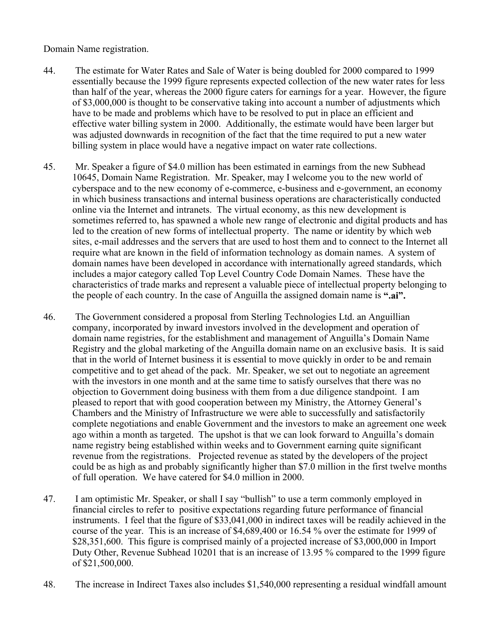Domain Name registration.

- 44. The estimate for Water Rates and Sale of Water is being doubled for 2000 compared to 1999 essentially because the 1999 figure represents expected collection of the new water rates for less than half of the year, whereas the 2000 figure caters for earnings for a year. However, the figure of \$3,000,000 is thought to be conservative taking into account a number of adjustments which have to be made and problems which have to be resolved to put in place an efficient and effective water billing system in 2000. Additionally, the estimate would have been larger but was adjusted downwards in recognition of the fact that the time required to put a new water billing system in place would have a negative impact on water rate collections.
- 45. Mr. Speaker a figure of \$4.0 million has been estimated in earnings from the new Subhead 10645, Domain Name Registration. Mr. Speaker, may I welcome you to the new world of cyberspace and to the new economy of e-commerce, e-business and e-government, an economy in which business transactions and internal business operations are characteristically conducted online via the Internet and intranets. The virtual economy, as this new development is sometimes referred to, has spawned a whole new range of electronic and digital products and has led to the creation of new forms of intellectual property. The name or identity by which web sites, e-mail addresses and the servers that are used to host them and to connect to the Internet all require what are known in the field of information technology as domain names. A system of domain names have been developed in accordance with internationally agreed standards, which includes a major category called Top Level Country Code Domain Names. These have the characteristics of trade marks and represent a valuable piece of intellectual property belonging to the people of each country. In the case of Anguilla the assigned domain name is **".ai".**
- 46. The Government considered a proposal from Sterling Technologies Ltd. an Anguillian company, incorporated by inward investors involved in the development and operation of domain name registries, for the establishment and management of Anguilla's Domain Name Registry and the global marketing of the Anguilla domain name on an exclusive basis. It is said that in the world of Internet business it is essential to move quickly in order to be and remain competitive and to get ahead of the pack. Mr. Speaker, we set out to negotiate an agreement with the investors in one month and at the same time to satisfy ourselves that there was no objection to Government doing business with them from a due diligence standpoint. I am pleased to report that with good cooperation between my Ministry, the Attorney General's Chambers and the Ministry of Infrastructure we were able to successfully and satisfactorily complete negotiations and enable Government and the investors to make an agreement one week ago within a month as targeted. The upshot is that we can look forward to Anguilla's domain name registry being established within weeks and to Government earning quite significant revenue from the registrations. Projected revenue as stated by the developers of the project could be as high as and probably significantly higher than \$7.0 million in the first twelve months of full operation. We have catered for \$4.0 million in 2000.
- 47. I am optimistic Mr. Speaker, or shall I say "bullish" to use a term commonly employed in financial circles to refer to positive expectations regarding future performance of financial instruments. I feel that the figure of \$33,041,000 in indirect taxes will be readily achieved in the course of the year. This is an increase of \$4,689,400 or 16.54 % over the estimate for 1999 of \$28,351,600. This figure is comprised mainly of a projected increase of \$3,000,000 in Import Duty Other, Revenue Subhead 10201 that is an increase of 13.95 % compared to the 1999 figure of \$21,500,000.
- 48. The increase in Indirect Taxes also includes \$1,540,000 representing a residual windfall amount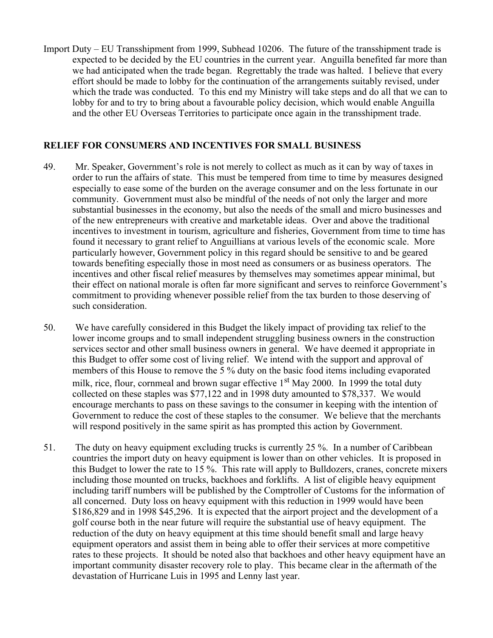Import Duty – EU Transshipment from 1999, Subhead 10206. The future of the transshipment trade is expected to be decided by the EU countries in the current year. Anguilla benefited far more than we had anticipated when the trade began. Regrettably the trade was halted. I believe that every effort should be made to lobby for the continuation of the arrangements suitably revised, under which the trade was conducted. To this end my Ministry will take steps and do all that we can to lobby for and to try to bring about a favourable policy decision, which would enable Anguilla and the other EU Overseas Territories to participate once again in the transshipment trade.

#### **RELIEF FOR CONSUMERS AND INCENTIVES FOR SMALL BUSINESS**

- 49. Mr. Speaker, Government's role is not merely to collect as much as it can by way of taxes in order to run the affairs of state. This must be tempered from time to time by measures designed especially to ease some of the burden on the average consumer and on the less fortunate in our community. Government must also be mindful of the needs of not only the larger and more substantial businesses in the economy, but also the needs of the small and micro businesses and of the new entrepreneurs with creative and marketable ideas. Over and above the traditional incentives to investment in tourism, agriculture and fisheries, Government from time to time has found it necessary to grant relief to Anguillians at various levels of the economic scale. More particularly however, Government policy in this regard should be sensitive to and be geared towards benefiting especially those in most need as consumers or as business operators. The incentives and other fiscal relief measures by themselves may sometimes appear minimal, but their effect on national morale is often far more significant and serves to reinforce Government's commitment to providing whenever possible relief from the tax burden to those deserving of such consideration.
- 50. We have carefully considered in this Budget the likely impact of providing tax relief to the lower income groups and to small independent struggling business owners in the construction services sector and other small business owners in general. We have deemed it appropriate in this Budget to offer some cost of living relief. We intend with the support and approval of members of this House to remove the 5 % duty on the basic food items including evaporated milk, rice, flour, cornmeal and brown sugar effective 1<sup>st</sup> May 2000. In 1999 the total duty collected on these staples was \$77,122 and in 1998 duty amounted to \$78,337. We would encourage merchants to pass on these savings to the consumer in keeping with the intention of Government to reduce the cost of these staples to the consumer. We believe that the merchants will respond positively in the same spirit as has prompted this action by Government.
- 51. The duty on heavy equipment excluding trucks is currently 25 %. In a number of Caribbean countries the import duty on heavy equipment is lower than on other vehicles. It is proposed in this Budget to lower the rate to 15 %. This rate will apply to Bulldozers, cranes, concrete mixers including those mounted on trucks, backhoes and forklifts. A list of eligible heavy equipment including tariff numbers will be published by the Comptroller of Customs for the information of all concerned. Duty loss on heavy equipment with this reduction in 1999 would have been \$186,829 and in 1998 \$45,296. It is expected that the airport project and the development of a golf course both in the near future will require the substantial use of heavy equipment. The reduction of the duty on heavy equipment at this time should benefit small and large heavy equipment operators and assist them in being able to offer their services at more competitive rates to these projects. It should be noted also that backhoes and other heavy equipment have an important community disaster recovery role to play. This became clear in the aftermath of the devastation of Hurricane Luis in 1995 and Lenny last year.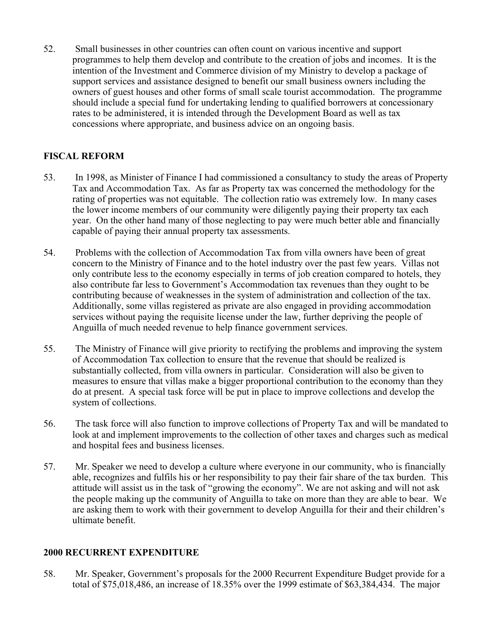52. Small businesses in other countries can often count on various incentive and support programmes to help them develop and contribute to the creation of jobs and incomes. It is the intention of the Investment and Commerce division of my Ministry to develop a package of support services and assistance designed to benefit our small business owners including the owners of guest houses and other forms of small scale tourist accommodation. The programme should include a special fund for undertaking lending to qualified borrowers at concessionary rates to be administered, it is intended through the Development Board as well as tax concessions where appropriate, and business advice on an ongoing basis.

# **FISCAL REFORM**

- 53. In 1998, as Minister of Finance I had commissioned a consultancy to study the areas of Property Tax and Accommodation Tax. As far as Property tax was concerned the methodology for the rating of properties was not equitable. The collection ratio was extremely low. In many cases the lower income members of our community were diligently paying their property tax each year. On the other hand many of those neglecting to pay were much better able and financially capable of paying their annual property tax assessments.
- 54. Problems with the collection of Accommodation Tax from villa owners have been of great concern to the Ministry of Finance and to the hotel industry over the past few years. Villas not only contribute less to the economy especially in terms of job creation compared to hotels, they also contribute far less to Government's Accommodation tax revenues than they ought to be contributing because of weaknesses in the system of administration and collection of the tax. Additionally, some villas registered as private are also engaged in providing accommodation services without paying the requisite license under the law, further depriving the people of Anguilla of much needed revenue to help finance government services.
- 55. The Ministry of Finance will give priority to rectifying the problems and improving the system of Accommodation Tax collection to ensure that the revenue that should be realized is substantially collected, from villa owners in particular. Consideration will also be given to measures to ensure that villas make a bigger proportional contribution to the economy than they do at present. A special task force will be put in place to improve collections and develop the system of collections.
- 56. The task force will also function to improve collections of Property Tax and will be mandated to look at and implement improvements to the collection of other taxes and charges such as medical and hospital fees and business licenses.
- 57. Mr. Speaker we need to develop a culture where everyone in our community, who is financially able, recognizes and fulfils his or her responsibility to pay their fair share of the tax burden. This attitude will assist us in the task of "growing the economy". We are not asking and will not ask the people making up the community of Anguilla to take on more than they are able to bear. We are asking them to work with their government to develop Anguilla for their and their children's ultimate benefit.

## **2000 RECURRENT EXPENDITURE**

58. Mr. Speaker, Government's proposals for the 2000 Recurrent Expenditure Budget provide for a total of \$75,018,486, an increase of 18.35% over the 1999 estimate of \$63,384,434. The major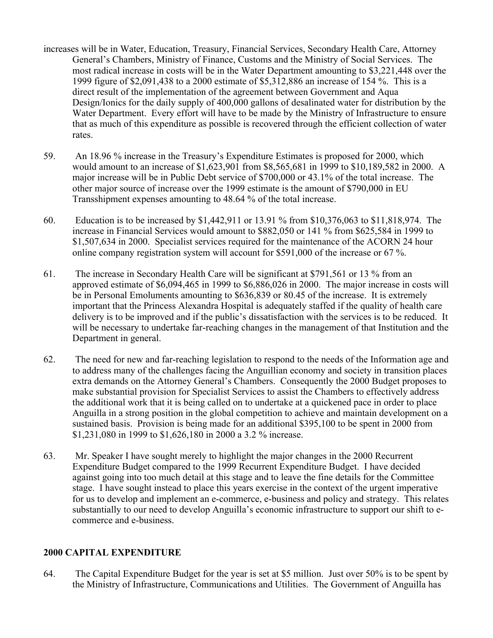- increases will be in Water, Education, Treasury, Financial Services, Secondary Health Care, Attorney General's Chambers, Ministry of Finance, Customs and the Ministry of Social Services. The most radical increase in costs will be in the Water Department amounting to \$3,221,448 over the 1999 figure of \$2,091,438 to a 2000 estimate of \$5,312,886 an increase of 154 %. This is a direct result of the implementation of the agreement between Government and Aqua Design/Ionics for the daily supply of 400,000 gallons of desalinated water for distribution by the Water Department. Every effort will have to be made by the Ministry of Infrastructure to ensure that as much of this expenditure as possible is recovered through the efficient collection of water rates.
- 59. An 18.96 % increase in the Treasury's Expenditure Estimates is proposed for 2000, which would amount to an increase of \$1,623,901 from \$8,565,681 in 1999 to \$10,189,582 in 2000. A major increase will be in Public Debt service of \$700,000 or 43.1% of the total increase. The other major source of increase over the 1999 estimate is the amount of \$790,000 in EU Transshipment expenses amounting to 48.64 % of the total increase.
- 60. Education is to be increased by \$1,442,911 or 13.91 % from \$10,376,063 to \$11,818,974. The increase in Financial Services would amount to \$882,050 or 141 % from \$625,584 in 1999 to \$1,507,634 in 2000. Specialist services required for the maintenance of the ACORN 24 hour online company registration system will account for \$591,000 of the increase or 67 %.
- 61. The increase in Secondary Health Care will be significant at \$791,561 or 13 % from an approved estimate of \$6,094,465 in 1999 to \$6,886,026 in 2000. The major increase in costs will be in Personal Emoluments amounting to \$636,839 or 80.45 of the increase. It is extremely important that the Princess Alexandra Hospital is adequately staffed if the quality of health care delivery is to be improved and if the public's dissatisfaction with the services is to be reduced. It will be necessary to undertake far-reaching changes in the management of that Institution and the Department in general.
- 62. The need for new and far-reaching legislation to respond to the needs of the Information age and to address many of the challenges facing the Anguillian economy and society in transition places extra demands on the Attorney General's Chambers. Consequently the 2000 Budget proposes to make substantial provision for Specialist Services to assist the Chambers to effectively address the additional work that it is being called on to undertake at a quickened pace in order to place Anguilla in a strong position in the global competition to achieve and maintain development on a sustained basis. Provision is being made for an additional \$395,100 to be spent in 2000 from \$1,231,080 in 1999 to \$1,626,180 in 2000 a 3.2 % increase.
- 63. Mr. Speaker I have sought merely to highlight the major changes in the 2000 Recurrent Expenditure Budget compared to the 1999 Recurrent Expenditure Budget. I have decided against going into too much detail at this stage and to leave the fine details for the Committee stage. I have sought instead to place this years exercise in the context of the urgent imperative for us to develop and implement an e-commerce, e-business and policy and strategy. This relates substantially to our need to develop Anguilla's economic infrastructure to support our shift to ecommerce and e-business.

## **2000 CAPITAL EXPENDITURE**

64. The Capital Expenditure Budget for the year is set at \$5 million. Just over 50% is to be spent by the Ministry of Infrastructure, Communications and Utilities. The Government of Anguilla has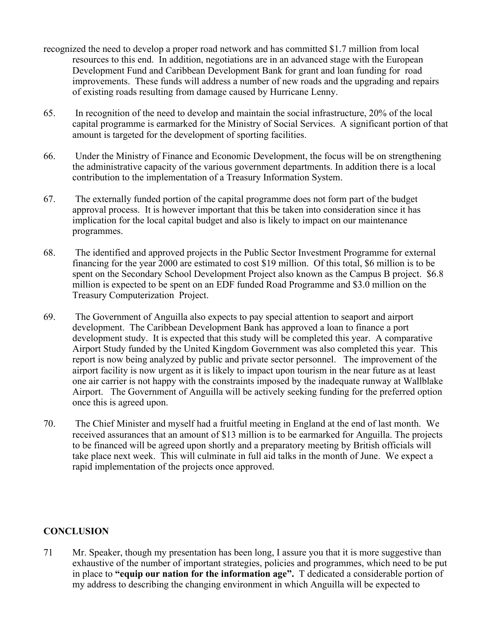- recognized the need to develop a proper road network and has committed \$1.7 million from local resources to this end. In addition, negotiations are in an advanced stage with the European Development Fund and Caribbean Development Bank for grant and loan funding for road improvements. These funds will address a number of new roads and the upgrading and repairs of existing roads resulting from damage caused by Hurricane Lenny.
- 65. In recognition of the need to develop and maintain the social infrastructure, 20% of the local capital programme is earmarked for the Ministry of Social Services. A significant portion of that amount is targeted for the development of sporting facilities.
- 66. Under the Ministry of Finance and Economic Development, the focus will be on strengthening the administrative capacity of the various government departments. In addition there is a local contribution to the implementation of a Treasury Information System.
- 67. The externally funded portion of the capital programme does not form part of the budget approval process. It is however important that this be taken into consideration since it has implication for the local capital budget and also is likely to impact on our maintenance programmes.
- 68. The identified and approved projects in the Public Sector Investment Programme for external financing for the year 2000 are estimated to cost \$19 million. Of this total, \$6 million is to be spent on the Secondary School Development Project also known as the Campus B project. \$6.8 million is expected to be spent on an EDF funded Road Programme and \$3.0 million on the Treasury Computerization Project.
- 69. The Government of Anguilla also expects to pay special attention to seaport and airport development. The Caribbean Development Bank has approved a loan to finance a port development study. It is expected that this study will be completed this year. A comparative Airport Study funded by the United Kingdom Government was also completed this year. This report is now being analyzed by public and private sector personnel. The improvement of the airport facility is now urgent as it is likely to impact upon tourism in the near future as at least one air carrier is not happy with the constraints imposed by the inadequate runway at Wallblake Airport. The Government of Anguilla will be actively seeking funding for the preferred option once this is agreed upon.
- 70. The Chief Minister and myself had a fruitful meeting in England at the end of last month. We received assurances that an amount of \$13 million is to be earmarked for Anguilla. The projects to be financed will be agreed upon shortly and a preparatory meeting by British officials will take place next week. This will culminate in full aid talks in the month of June. We expect a rapid implementation of the projects once approved.

## **CONCLUSION**

71 Mr. Speaker, though my presentation has been long, I assure you that it is more suggestive than exhaustive of the number of important strategies, policies and programmes, which need to be put in place to **"equip our nation for the information age".** T dedicated a considerable portion of my address to describing the changing environment in which Anguilla will be expected to